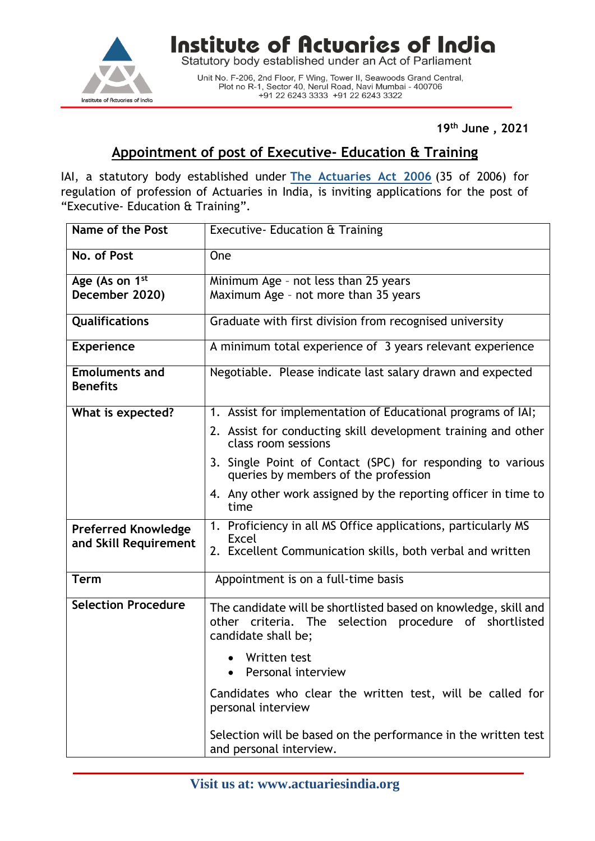

Institute of Actuaries of India

Statutory body established under an Act of Parliament

Unit No. F-206, 2nd Floor, F Wing, Tower II, Seawoods Grand Central, Plot no R-1, Sector 40, Nerul Road, Navi Mumbai - 400706 +91 22 6243 3333 +91 22 6243 3322

**19th June , 2021**

## **Appointment of post of Executive- Education & Training**

IAI, a statutory body established under **[The Actuaries Act 2006](http://www.actuariesindia.org/guidance/scanned%20GN.pdf)** (35 of 2006) for regulation of profession of Actuaries in India, is inviting applications for the post of "Executive- Education & Training".

| Name of the Post                                    | Executive- Education & Training                                                                                                                  |
|-----------------------------------------------------|--------------------------------------------------------------------------------------------------------------------------------------------------|
| No. of Post                                         | One                                                                                                                                              |
| Age (As on 1 <sup>st</sup>                          | Minimum Age - not less than 25 years                                                                                                             |
| December 2020)                                      | Maximum Age - not more than 35 years                                                                                                             |
| Qualifications                                      | Graduate with first division from recognised university                                                                                          |
| <b>Experience</b>                                   | A minimum total experience of 3 years relevant experience                                                                                        |
| <b>Emoluments and</b><br><b>Benefits</b>            | Negotiable. Please indicate last salary drawn and expected                                                                                       |
| What is expected?                                   | 1. Assist for implementation of Educational programs of IAI;                                                                                     |
|                                                     | 2. Assist for conducting skill development training and other<br>class room sessions                                                             |
|                                                     | 3. Single Point of Contact (SPC) for responding to various<br>queries by members of the profession                                               |
|                                                     | 4. Any other work assigned by the reporting officer in time to<br>time                                                                           |
| <b>Preferred Knowledge</b><br>and Skill Requirement | 1. Proficiency in all MS Office applications, particularly MS<br><b>Excel</b>                                                                    |
|                                                     | 2. Excellent Communication skills, both verbal and written                                                                                       |
| <b>Term</b>                                         | Appointment is on a full-time basis                                                                                                              |
| <b>Selection Procedure</b>                          | The candidate will be shortlisted based on knowledge, skill and<br>other criteria. The selection procedure of shortlisted<br>candidate shall be; |
|                                                     | Written test<br>Personal interview                                                                                                               |
|                                                     | Candidates who clear the written test, will be called for<br>personal interview                                                                  |
|                                                     | Selection will be based on the performance in the written test<br>and personal interview.                                                        |